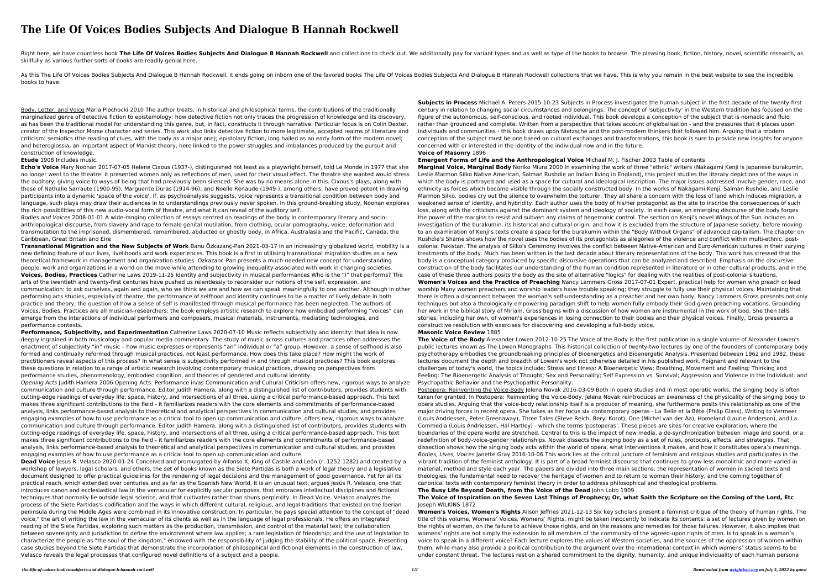# **The Life Of Voices Bodies Subjects And Dialogue B Hannah Rockwell**

Right here, we have countless book The Life Of Voices Bodies Subjects And Dialogue B Hannah Rockwell and collections to check out. We additionally pay for variant types and as well as type of the books to browse. The pleas skillfully as various further sorts of books are readily genial here.

As this The Life Of Voices Bodies Subjects And Dialogue B Hannah Rockwell, it ends going on inborn one of the favored books The Life Of Voices Bodies Subjects And Dialogue B Hannah Rockwell collections that we have. This i books to have.

Body, Letter, and Voice Maria Plochocki 2010 The author treats, in historical and philosophical terms, the contributions of the traditionally marginalized genre of detective fiction to epistemology: how detective fiction not only traces the progression of knowledge and its discovery, as has been the traditional model for understanding this genre, but, in fact, constructs it through narrative. Particular focus is on Colin Dexter, creator of the Inspector Morse character and series. This work also links detective fiction to more legitimate, accepted realms of literature and criticism: semiotics (the reading of clues, with the body as a major one); epistolary fiction, long hailed as an early form of the modern novel; and heteroglossia, an important aspect of Marxist theory, here linked to the power struggles and imbalances produced by the pursuit and construction of knowledge.

#### **Etude** 1908 Includes music.

**Echo's Voice** Mary Noonan 2017-07-05 Helene Cixous (1937-), distinguished not least as a playwright herself, told Le Monde in 1977 that she no longer went to the theatre: it presented women only as reflections of men, used for their visual effect. The theatre she wanted would stress the auditory, giving voice to ways of being that had previously been silenced. She was by no means alone in this. Cixous's plays, along with those of Nathalie Sarraute (1900-99), Marguerite Duras (1914-96), and Noelle Renaude (1949-), among others, have proved potent in drawing participants into a dynamic 'space of the voice'. If, as psychoanalysis suggests, voice represents a transitional condition between body and language, such plays may draw their audiences in to understandings previously never spoken. In this ground-breaking study, Noonan explores the rich possibilities of this new audio-vocal form of theatre, and what it can reveal of the auditory self.

Bodies and Voices 2008-01-01 A wide-ranging collection of essays centred on readings of the body in contemporary literary and socioanthropological discourse, from slavery and rape to female genital mutilation, from clothing, ocular pornography, voice, deformation and transmutation to the imprisoned, dismembered, remembered, abducted or ghostly body, in Africa, Australasia and the Pacific, Canada, the Caribbean, Great Britain and Eire

**Transnational Migration and the New Subjects of Work** Banu Özkazanç-Pan 2021-03-17 In an increasingly globalized world, mobility is a new defining feature of our lives, livelihoods and work experiences. This book is a first in utilising transnational migration studies as a new theoretical framework in management and organization studies. Ozkazanc-Pan presents a much-needed new concept for understanding people, work and organizations in a world on the move while attending to growing inequality associated with work in changing societies. **Voices, Bodies, Practices** Catherine Laws 2019-11-25 Identity and subjectivity in musical performances Who is the "I" that performs? The arts of the twentieth and twenty-first centuries have pushed us relentlessly to reconsider our notions of the self, expression, and communication: to ask ourselves, again and again, who we think we are and how we can speak meaningfully to one another. Although in other performing arts studies, especially of theatre, the performance of selfhood and identity continues to be a matter of lively debate in both practice and theory, the question of how a sense of self is manifested through musical performance has been neglected. The authors of Voices, Bodies, Practices are all musician-researchers: the book employs artistic research to explore how embodied performing "voices" can emerge from the interactions of individual performers and composers, musical materials, instruments, mediating technologies, and performance contexts.

**Performance, Subjectivity, and Experimentation** Catherine Laws 2020-07-10 Music reflects subjectivity and identity: that idea is now deeply ingrained in both musicology and popular media commentary. The study of music across cultures and practices often addresses the enactment of subjectivity "in" music – how music expresses or represents "an" individual or "a" group. However, a sense of selfhood is also formed and continually reformed through musical practices, not least performance. How does this take place? How might the work of practitioners reveal aspects of this process? In what sense is subjectivity performed in and through musical practices? This book explores these questions in relation to a range of artistic research involving contemporary musical practices, drawing on perspectives from performance studies, phenomenology, embodied cognition, and theories of gendered and cultural identity.

Opening Acts Judith Hamera 2006 Opening Acts: Performance in/as Communication and Cultural Criticism offers new, rigorous ways to analyze communication and culture through performance. Editor Judith Hamera, along with a distinguished list of contributors, provides students with cutting-edge readings of everyday life, space, history, and intersections of all three, using a critical performance-based approach. This text makes three significant contributions to the field - it familiarizes readers with the core elements and commitments of performance-based analysis, links performance-based analysis to theoretical and analytical perspectives in communication and cultural studies, and provides engaging examples of how to use performance as a critical tool to open up communication and culture. offers new, rigorous ways to analyze communication and culture through performance. Editor Judith Hamera, along with a distinguished list of contributors, provides students with cutting-edge readings of everyday life, space, history, and intersections of all three, using a critical performance-based approach. This text makes three significant contributions to the field - it familiarizes readers with the core elements and commitments of performance-based analysis, links performance-based analysis to theoretical and analytical perspectives in communication and cultural studies, and provides engaging examples of how to use performance as a critical tool to open up communication and culture.

Postopera: Reinventing the Voice-Body Jelena Novak 2016-03-09 Both in opera studies and in most operatic works, the singing body is often taken for granted. In Postopera: Reinventing the Voice-Body, Jelena Novak reintroduces an awareness of the physicality of the singing body to opera studies. Arguing that the voice-body relationship itself is a producer of meaning, she furthermore posits this relationship as one of the major driving forces in recent opera. She takes as her focus six contemporary operas - La Belle et la Bête (Philip Glass), Writing to Vermeer (Louis Andriessen, Peter Greenaway), Three Tales (Steve Reich, Beryl Korot), One (Michel van der Aa), Homeland (Laurie Anderson), and La Commedia (Louis Andriessen, Hal Hartley) - which she terms 'postoperas'. These pieces are sites for creative exploration, where the boundaries of the opera world are stretched. Central to this is the impact of new media, a de-synchronization between image and sound, or a redefinition of body-voice-gender relationships. Novak dissects the singing body as a set of rules, protocols, effects, and strategies. That dissection shows how the singing body acts within the world of opera, what interventions it makes, and how it constitutes opera's meanings. Bodies, Lives, Voices Janette Gray 2016-10-06 This work lies at the critical juncture of feminism and religious studies and participates in the vibrant tradition of the feminist anthology. It is part of a broad feminist discourse that continues to grow less monolithic and more varied in material, method and style each year. The papers are divided into three main sections: the representation of women in sacred texts and theologies, the fundamental need to recover the heritage of women and to return to women their history, and the coming together of canonical texts with contemporary feminist theory in order to address philosophical and theological problems.

**Dead Voice** Jesus R. Velasco 2020-01-24 Conceived and promulgated by Alfonso X, King of Castile and León (r. 1252-1282) and created by a workshop of lawyers, legal scholars, and others, the set of books known as the Siete Partidas is both a work of legal theory and a legislative document designed to offer practical guidelines for the rendering of legal decisions and the management of good governance. Yet for all its practical reach, which extended over centuries and as far as the Spanish New World, it is an unusual text, argues Jesús R. Velasco, one that introduces canon and ecclesiastical law in the vernacular for explicitly secular purposes, that embraces intellectual disciplines and fictional techniques that normally lie outside legal science, and that cultivates rather than shuns perplexity. In Dead Voice, Velasco analyzes the process of the Siete Partidas's codification and the ways in which different cultural, religious, and legal traditions that existed on the Iberian peninsula during the Middle Ages were combined in its innovative construction. In particular, he pays special attention to the concept of "dead voice," the art of writing the law in the vernacular of its clients as well as in the language of legal professionals. He offers an integrated reading of the Siete Partidas, exploring such matters as the production, transmission, and control of the material text; the collaboration between sovereignty and jurisdiction to define the environment where law applies; a rare legislation of friendship; and the use of legislation to characterize the people as "the soul of the kingdom," endowed with the responsibility of judging the stability of the political space. Presenting case studies beyond the Siete Partidas that demonstrate the incorporation of philosophical and fictional elements in the construction of law, Velasco reveals the legal processes that configured novel definitions of a subject and a people.

**Subjects in Process** Michael A. Peters 2015-10-23 Subjects in Process investigates the human subject in the first decade of the twenty-first century in relation to changing social circumstances and belongings. The concept of 'subjectivity' in the Western tradition has focused on the figure of the autonomous, self-conscious, and rooted individual. This book develops a conception of the subject that is nomadic and fluid rather than grounded and complete. Written from a perspective that takes account of globalisation - and the pressures that it places upon individuals and communities - this book draws upon Nietzsche and the post-modern thinkers that followed him. Arguing that a modern conception of the subject must be one based on cultural exchanges and transformations, this book is sure to provide new insights for anyone concerned with or interested in the identity of the individual now and in the future.

## **Voice of Masonry** 1896

## **Emergent Forms of Life and the Anthropological Voice** Michael M. J. Fischer 2003 Table of contents

**Marginal Voice, Marginal Body** Noriko Miura 2000 In examining the work of three "ethnic" writers (Nakagami Kenji is Japanese burakumin, Leslie Marmon Silko Native American, Salman Rushdie an Indian living in England), this project studies the literary depictions of the ways in which the body is portrayed and used as a space for cultural and ideological inscription. The major issues addressed involve gender, race, and ethnicity as forces which become visible through the socially constructed body. In the works of Nakagami Kenji, Salman Rushdie, and Leslie Marmon Silko, bodies cry out the silence to overwhelm the torturer. They all share a concern with the loss of land which induces migration, a weakened sense of identity, and hybridity. Each author uses the body of his/her protagonist as the site to inscribe the consequences of such loss, along with the criticisms against the dominant system and ideology of society. In each case, an emerging discourse of the body forges the power of the margins to resist and subvert any claims of hegemonic control. The section on Kenji's novel Wings of the Sun includes an investigation of the burakumin, its historical and cultural origin, and how it is excluded from the structure of Japanese society, before moving to an examination of Kenji's texts create a space for the burakumin within the "Body Without Organs" of advanced capitalism. The chapter on Rushdie's Shame shows how the novel uses the bodies of its protagonists as allegories of the violence and conflict within multi-ethnic, postcolonial Pakistan. The analysis of Silko's Ceremony involves the conflict between Native-American and Euro-American cultures in their varying treatments of the body. Much has been written in the last decade about literary representations of the body. This work has stressed that the body is a conceptual category produced by specific discursive operations that can be analyzed and described. Emphasis on the discursive construction of the body facilitates our understanding of the human condition represented in literature or in other cultural products, and in the case of these three authors posits the body as the site of alternative "logics" for dealing with the realities of post-colonial situations.

**Women's Voices and the Practice of Preaching** Nancy Lammers Gross 2017-07-01 Expert, practical help for women who preach or lead worship Many women preachers and worship leaders have trouble speaking; they struggle to fully use their physical voices. Maintaining that there is often a disconnect between the woman's self-understanding as a preacher and her own body, Nancy Lammers Gross presents not only techniques but also a theologically empowering paradigm shift to help women fully embody their God-given preaching vocations. Grounding her work in the biblical story of Miriam, Gross begins with a discussion of how women are instrumental in the work of God. She then tells stories, including her own, of women's experiences in losing connection to their bodies and their physical voices. Finally, Gross presents a constructive resolution with exercises for discovering and developing a full-body voice.

#### **Masonic Voice Review** 1885

**The Voice of the Body** Alexander Lowen 2012-10-25 The Voice of the Body is the first publication in a single volume of Alexander Lowen's public lectures known as The Lowen Monographs. This historical collection of twenty-two lectures by one of the founders of contemporary body psychotherapy embodies the groundbreaking principles of Bioenergetics and Bioenergetic Analysis. Presented between 1962 and 1982, these lectures document the depth and breadth of Lowen's work not otherwise detailed in his published work. Poignant and relevant to the challenges of today's world, the topics include: Stress and Illness: A Bioenergetic View; Breathing, Movement and Feeling; Thinking and Feeling: The Bioenergetic Analysis of Thought; Sex and Personality; Self Expression vs. Survival; Aggression and Violence in the Individual; and Psychopathic Behavior and the Psychopathic Personality.

#### **The Busy Life Beyond Death, from the Voice of the Dead** John Lobb 1909

#### **The Voice of Inspiration on the Seven Last Things of Prophecy; Or, what Saith the Scripture on the Coming of the Lord, Etc** Joseph WILKINS 1872

**Women's Voices, Women's Rights** Alison Jeffries 2021-12-13 Six key scholars present a feminist critique of the theory of human rights. The title of this volume, Womens' Voices, Womens' Rights, might be taken innocently to indicate its contents: a set of lectures given by women on the rights of women, on the failure to achieve those rights, and on the reasons and remedies for those failures. However, it also implies that womens' rights are not simply the extension to all members of the community of the agreed-upon rights of men. Is to speak in a woman's voice to speak in a different voice? Each lecture explores the values of Western societies, and the sources of the oppression of women within them, while many also provide a political contribution to the argument over the international context in which womens' status seems to be under constant threat. The lectures rest on a shared commitment to the dignity, humanity, and unique individuality of each human persona